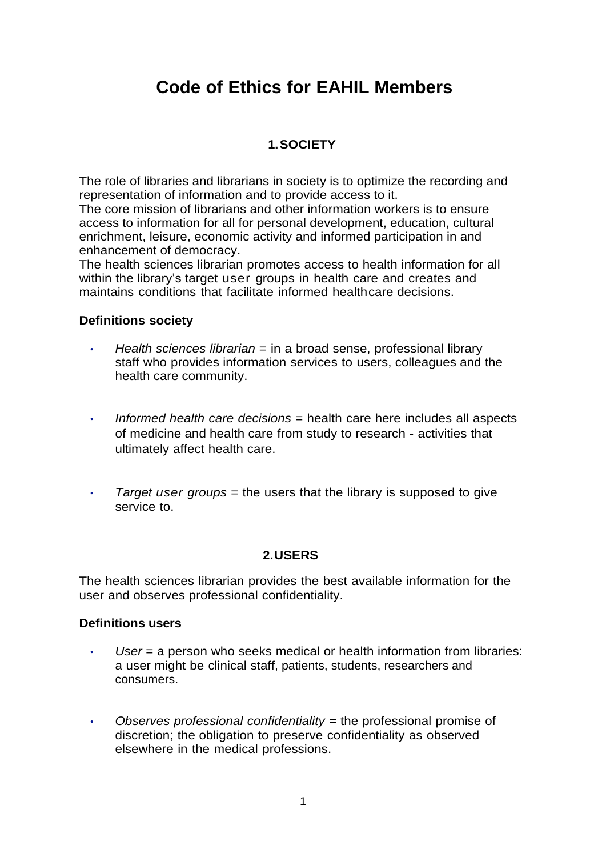# **Code of Ethics for EAHIL Members**

## **1.SOCIETY**

The role of libraries and librarians in society is to optimize the recording and representation of information and to provide access to it.

The core mission of librarians and other information workers is to ensure access to information for all for personal development, education, cultural enrichment, leisure, economic activity and informed participation in and enhancement of democracy.

The health sciences librarian promotes access to health information for all within the library's target user groups in health care and creates and maintains conditions that facilitate informed healthcare decisions.

#### **Definitions society**

- *• Health sciences librarian* = in a broad sense, professional library staff who provides information services to users, colleagues and the health care community.
- *• Informed health care decisions* = health care here includes all aspects of medicine and health care from study to research - activities that ultimately affect health care.
- *Farget user groups* = the users that the library is supposed to give service to.

## **2.USERS**

The health sciences librarian provides the best available information for the user and observes professional confidentiality.

#### **Definitions users**

- *• User* = a person who seeks medical or health information from libraries: a user might be clinical staff, patients, students, researchers and consumers.
- *• Observes professional confidentiality =* the professional promise of discretion; the obligation to preserve confidentiality as observed elsewhere in the medical professions.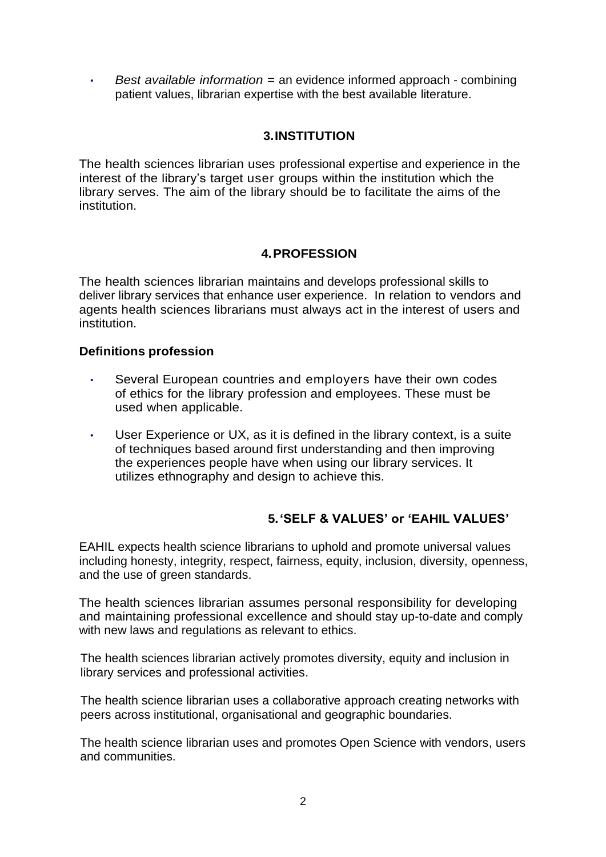*• Best available information =* an evidence informed approach - combining patient values, librarian expertise with the best available literature.

## **3.INSTITUTION**

The health sciences librarian uses professional expertise and experience in the interest of the library's target user groups within the institution which the library serves. The aim of the library should be to facilitate the aims of the institution.

## **4.PROFESSION**

The health sciences librarian maintains and develops professional skills to deliver library services that enhance user experience. In relation to vendors and agents health sciences librarians must always act in the interest of users and institution.

#### **Definitions profession**

- Several European countries and employers have their own codes of ethics for the library profession and employees. These must be used when applicable.
- User Experience or UX, as it is defined in the library context, is a suite of techniques based around first understanding and then improving the experiences people have when using our library services. It utilizes ethnography and design to achieve this.

## **5.'SELF & VALUES' or 'EAHIL VALUES'**

EAHIL expects health science librarians to uphold and promote universal values including honesty, integrity, respect, fairness, equity, inclusion, diversity, openness, and the use of green standards.

The health sciences librarian assumes personal responsibility for developing and maintaining professional excellence and should stay up-to-date and comply with new laws and regulations as relevant to ethics.

The health sciences librarian actively promotes diversity, equity and inclusion in library services and professional activities.

The health science librarian uses a collaborative approach creating networks with peers across institutional, organisational and geographic boundaries.

 The health science librarian uses and promotes Open Science with vendors, users and communities.